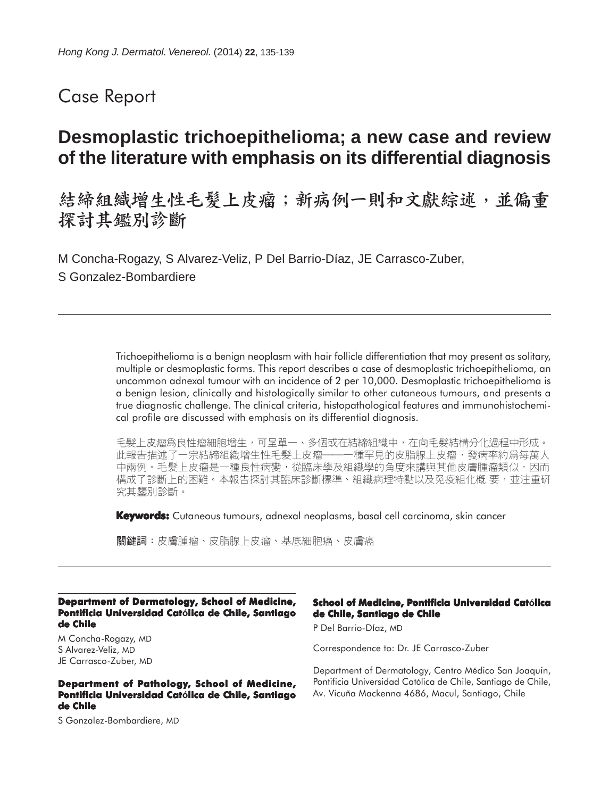# Case Report

# **Desmoplastic trichoepithelioma; a new case and review of the literature with emphasis on its differential diagnosis**

結締組織增生性毛髮上皮瘤;新病例一則和文獻綜述,並偏重 探討其鑑別診斷

M Concha-Rogazy, S Alvarez-Veliz, P Del Barrio-Díaz, JE Carrasco-Zuber, S Gonzalez-Bombardiere

> Trichoepithelioma is a benign neoplasm with hair follicle differentiation that may present as solitary, multiple or desmoplastic forms. This report describes a case of desmoplastic trichoepithelioma, an uncommon adnexal tumour with an incidence of 2 per 10,000. Desmoplastic trichoepithelioma is a benign lesion, clinically and histologically similar to other cutaneous tumours, and presents a true diagnostic challenge. The clinical criteria, histopathological features and immunohistochemical profile are discussed with emphasis on its differential diagnosis.

> 毛髮上皮瘤爲良性瘤細胞增生,可呈單一、多個或在結締組織中,在向毛髮結構分化過程中形成。 此報告描述了一宗結締組織增生性毛髮上皮瘤--種罕見的皮脂腺上皮瘤,發病率約爲每萬人 中兩例。毛髮上皮瘤是一種良性病變,從臨床學及組織學的角度來講與其他皮膚腫瘤類似,因而 構成了診斷上的困難。本報告探討其臨床診斷標準、組織病理特點以及免疫組化概 要,並注重研 究其鑒別診斷。

**Keywords:** Cutaneous tumours, adnexal neoplasms, basal cell carcinoma, skin cancer

關鍵詞:皮膚腫瘤、皮脂腺上皮瘤、基底細胞癌、皮膚癌

#### **Department of Dermatology, School of Medicine, Pontificia Universidad Católica de Chile, Santiago de Chile**

M Concha-Rogazy, MD S Alvarez-Veliz, MD JE Carrasco-Zuber, MD

#### **Department of Pathology, School of Medicine, Pontificia Universidad Católica de Chile, Santiago de Chile**

S Gonzalez-Bombardiere, MD

#### **School of Medicine, Pontificia Universidad Católica de Chile, Santiago de Chile**

P Del Barrio-Díaz, MD

Correspondence to: Dr. JE Carrasco-Zuber

Department of Dermatology, Centro Médico San Joaquín, Pontificia Universidad Católica de Chile, Santiago de Chile, Av. Vicuña Mackenna 4686, Macul, Santiago, Chile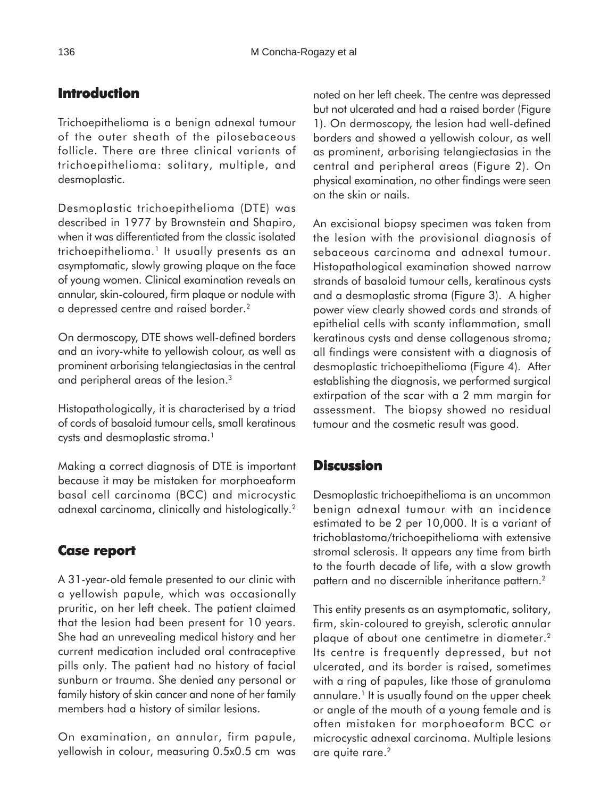## **Introduction**

Trichoepithelioma is a benign adnexal tumour of the outer sheath of the pilosebaceous follicle. There are three clinical variants of trichoepithelioma: solitary, multiple, and desmoplastic.

Desmoplastic trichoepithelioma (DTE) was described in 1977 by Brownstein and Shapiro, when it was differentiated from the classic isolated trichoepithelioma.<sup>1</sup> It usually presents as an asymptomatic, slowly growing plaque on the face of young women. Clinical examination reveals an annular, skin-coloured, firm plaque or nodule with a depressed centre and raised border.2

On dermoscopy, DTE shows well-defined borders and an ivory-white to yellowish colour, as well as prominent arborising telangiectasias in the central and peripheral areas of the lesion.3

Histopathologically, it is characterised by a triad of cords of basaloid tumour cells, small keratinous cysts and desmoplastic stroma.<sup>1</sup>

Making a correct diagnosis of DTE is important because it may be mistaken for morphoeaform basal cell carcinoma (BCC) and microcystic adnexal carcinoma, clinically and histologically.2

## **Case report report**

A 31-year-old female presented to our clinic with a yellowish papule, which was occasionally pruritic, on her left cheek. The patient claimed that the lesion had been present for 10 years. She had an unrevealing medical history and her current medication included oral contraceptive pills only. The patient had no history of facial sunburn or trauma. She denied any personal or family history of skin cancer and none of her family members had a history of similar lesions.

On examination, an annular, firm papule, yellowish in colour, measuring 0.5x0.5 cm was noted on her left cheek. The centre was depressed but not ulcerated and had a raised border (Figure 1). On dermoscopy, the lesion had well-defined borders and showed a yellowish colour, as well as prominent, arborising telangiectasias in the central and peripheral areas (Figure 2). On physical examination, no other findings were seen on the skin or nails.

An excisional biopsy specimen was taken from the lesion with the provisional diagnosis of sebaceous carcinoma and adnexal tumour. Histopathological examination showed narrow strands of basaloid tumour cells, keratinous cysts and a desmoplastic stroma (Figure 3). A higher power view clearly showed cords and strands of epithelial cells with scanty inflammation, small keratinous cysts and dense collagenous stroma; all findings were consistent with a diagnosis of desmoplastic trichoepithelioma (Figure 4). After establishing the diagnosis, we performed surgical extirpation of the scar with a 2 mm margin for assessment. The biopsy showed no residual tumour and the cosmetic result was good.

### **Discussion**

Desmoplastic trichoepithelioma is an uncommon benign adnexal tumour with an incidence estimated to be 2 per 10,000. It is a variant of trichoblastoma/trichoepithelioma with extensive stromal sclerosis. It appears any time from birth to the fourth decade of life, with a slow growth pattern and no discernible inheritance pattern.<sup>2</sup>

This entity presents as an asymptomatic, solitary, firm, skin-coloured to greyish, sclerotic annular plaque of about one centimetre in diameter.2 Its centre is frequently depressed, but not ulcerated, and its border is raised, sometimes with a ring of papules, like those of granuloma annulare.<sup>1</sup> It is usually found on the upper cheek or angle of the mouth of a young female and is often mistaken for morphoeaform BCC or microcystic adnexal carcinoma. Multiple lesions are quite rare.<sup>2</sup>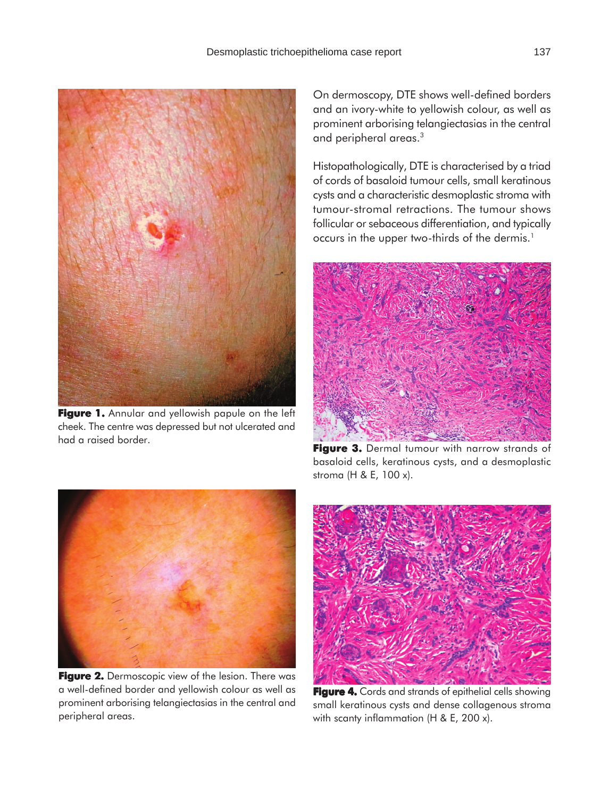

**Figure 1.** Annular and yellowish papule on the left cheek. The centre was depressed but not ulcerated and had a raised border.

On dermoscopy, DTE shows well-defined borders and an ivory-white to yellowish colour, as well as prominent arborising telangiectasias in the central and peripheral areas.3

Histopathologically, DTE is characterised by a triad of cords of basaloid tumour cells, small keratinous cysts and a characteristic desmoplastic stroma with tumour-stromal retractions. The tumour shows follicular or sebaceous differentiation, and typically occurs in the upper two-thirds of the dermis.<sup>1</sup>



Figure 3. Dermal tumour with narrow strands of basaloid cells, keratinous cysts, and a desmoplastic stroma (H & E, 100 x).



**Figure 2. Figure 2.** Dermoscopic view of the lesion. There was a well-defined border and yellowish colour as well as prominent arborising telangiectasias in the central and peripheral areas.



**Figure 4.** Cords and strands of epithelial cells showing small keratinous cysts and dense collagenous stroma with scanty inflammation (H & E, 200 x).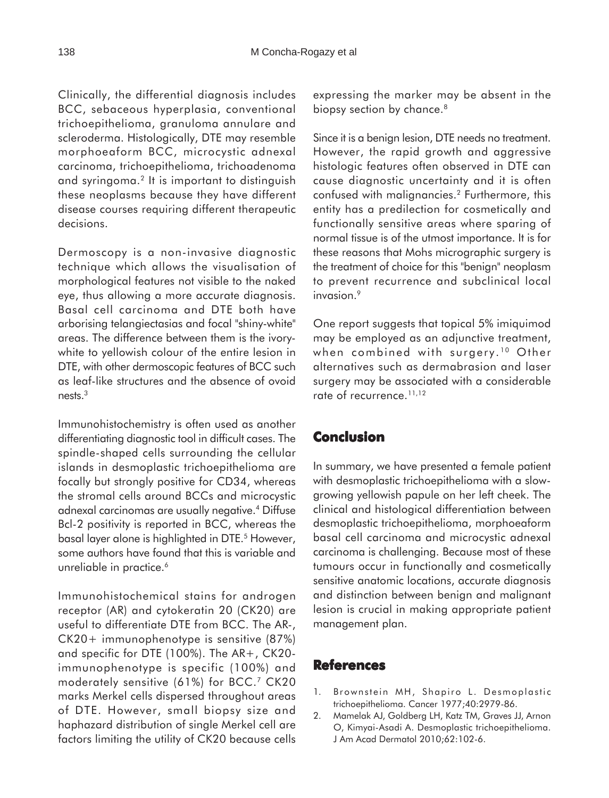Clinically, the differential diagnosis includes BCC, sebaceous hyperplasia, conventional trichoepithelioma, granuloma annulare and scleroderma. Histologically, DTE may resemble morphoeaform BCC, microcystic adnexal carcinoma, trichoepithelioma, trichoadenoma and syringoma.2 It is important to distinguish these neoplasms because they have different disease courses requiring different therapeutic decisions.

Dermoscopy is a non-invasive diagnostic technique which allows the visualisation of morphological features not visible to the naked eye, thus allowing a more accurate diagnosis. Basal cell carcinoma and DTE both have arborising telangiectasias and focal "shiny-white" areas. The difference between them is the ivorywhite to yellowish colour of the entire lesion in DTE, with other dermoscopic features of BCC such as leaf-like structures and the absence of ovoid nests.3

Immunohistochemistry is often used as another differentiating diagnostic tool in difficult cases. The spindle-shaped cells surrounding the cellular islands in desmoplastic trichoepithelioma are focally but strongly positive for CD34, whereas the stromal cells around BCCs and microcystic adnexal carcinomas are usually negative.4 Diffuse Bcl-2 positivity is reported in BCC, whereas the basal layer alone is highlighted in DTE.<sup>5</sup> However, some authors have found that this is variable and unreliable in practice.<sup>6</sup>

Immunohistochemical stains for androgen receptor (AR) and cytokeratin 20 (CK20) are useful to differentiate DTE from BCC. The AR-, CK20+ immunophenotype is sensitive (87%) and specific for DTE (100%). The AR+, CK20 immunophenotype is specific (100%) and moderately sensitive (61%) for BCC.7 CK20 marks Merkel cells dispersed throughout areas of DTE. However, small biopsy size and haphazard distribution of single Merkel cell are factors limiting the utility of CK20 because cells expressing the marker may be absent in the biopsy section by chance.<sup>8</sup>

Since it is a benign lesion, DTE needs no treatment. However, the rapid growth and aggressive histologic features often observed in DTE can cause diagnostic uncertainty and it is often confused with malignancies.2 Furthermore, this entity has a predilection for cosmetically and functionally sensitive areas where sparing of normal tissue is of the utmost importance. It is for these reasons that Mohs micrographic surgery is the treatment of choice for this "benign" neoplasm to prevent recurrence and subclinical local invasion.<sup>9</sup>

One report suggests that topical 5% imiquimod may be employed as an adjunctive treatment, when combined with surgery.<sup>10</sup> Other alternatives such as dermabrasion and laser surgery may be associated with a considerable rate of recurrence.<sup>11,12</sup>

### **Conclusion**

In summary, we have presented a female patient with desmoplastic trichoepithelioma with a slowgrowing yellowish papule on her left cheek. The clinical and histological differentiation between desmoplastic trichoepithelioma, morphoeaform basal cell carcinoma and microcystic adnexal carcinoma is challenging. Because most of these tumours occur in functionally and cosmetically sensitive anatomic locations, accurate diagnosis and distinction between benign and malignant lesion is crucial in making appropriate patient management plan.

#### **References**

- 1. Brownstein MH, Shapiro L. Desmoplastic trichoepithelioma. Cancer 1977;40:2979-86.
- 2. Mamelak AJ, Goldberg LH, Katz TM, Graves JJ, Arnon O, Kimyai-Asadi A. Desmoplastic trichoepithelioma. J Am Acad Dermatol 2010;62:102-6.